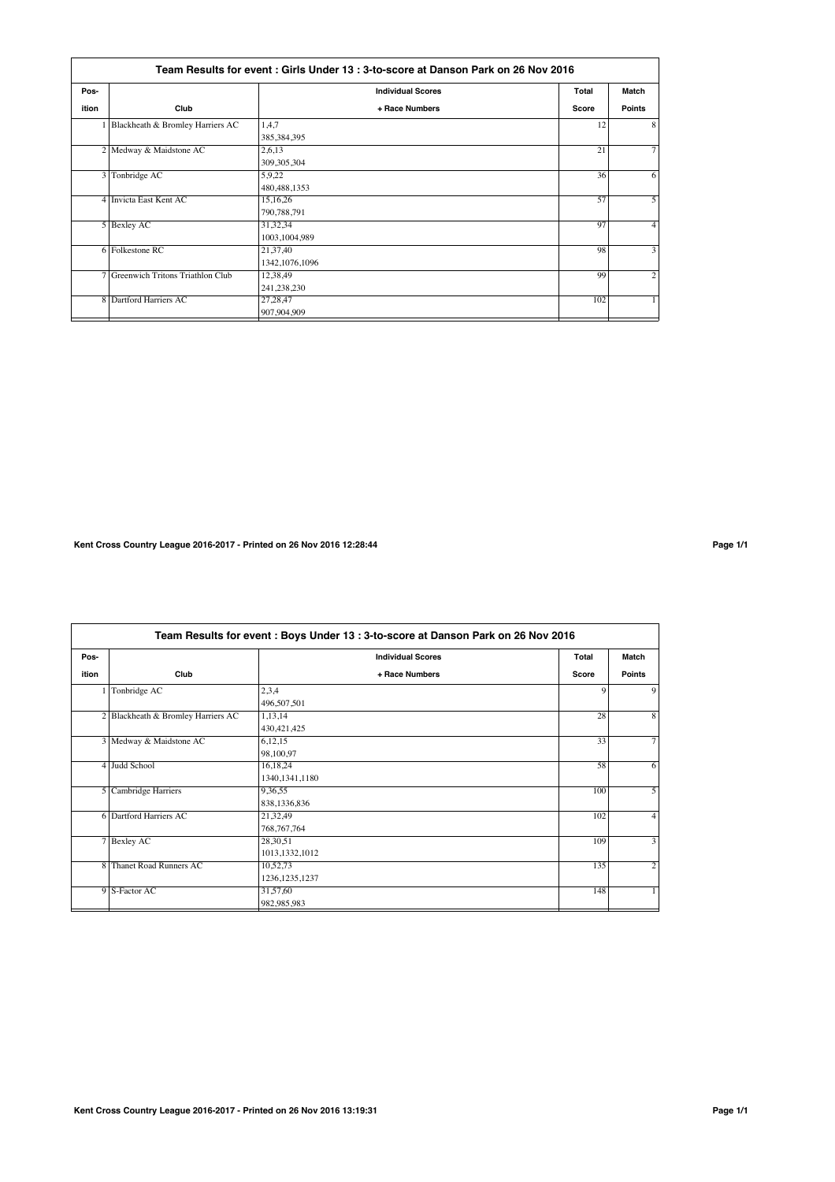|       | Team Results for event : Girls Under 13 : 3-to-score at Danson Park on 26 Nov 2016 |                          |       |                   |  |  |
|-------|------------------------------------------------------------------------------------|--------------------------|-------|-------------------|--|--|
| Pos-  |                                                                                    | <b>Individual Scores</b> | Total | Match             |  |  |
| ition | Club                                                                               | + Race Numbers           | Score | <b>Points</b>     |  |  |
|       | Blackheath & Bromley Harriers AC                                                   | 1.4.7                    | 12    | 8                 |  |  |
|       |                                                                                    | 385,384,395              |       |                   |  |  |
|       | 2 Medway & Maidstone AC                                                            | 2,6,13                   | 21    | $\overline{\tau}$ |  |  |
|       |                                                                                    | 309, 305, 304            |       |                   |  |  |
|       | 3 Tonbridge AC                                                                     | 5,9,22                   | 36    | 6                 |  |  |
|       |                                                                                    | 480, 488, 1353           |       |                   |  |  |
|       | 4 Invicta East Kent AC                                                             | 15,16,26                 | 57    | 5                 |  |  |
|       |                                                                                    | 790,788,791              |       |                   |  |  |
|       | 5 Bexley AC                                                                        | 31,32,34                 | 97    | 4                 |  |  |
|       |                                                                                    | 1003,1004,989            |       |                   |  |  |
|       | 6 Folkestone RC                                                                    | 21,37,40                 | 98    | 3                 |  |  |
|       |                                                                                    | 1342,1076,1096           |       |                   |  |  |
|       | 7 Greenwich Tritons Triathlon Club                                                 | 12,38,49                 | 99    | $\overline{2}$    |  |  |
|       |                                                                                    | 241,238,230              |       |                   |  |  |
|       | 8 Dartford Harriers AC                                                             | 27,28,47                 | 102   |                   |  |  |
|       |                                                                                    | 907,904,909              |       |                   |  |  |

## **Kent Cross Country League 2016-2017 - Printed on 26 Nov 2016 12:28:44 Page 1/1**

**Team Results for event : Boys Under 13 : 3-to-score at Danson Park on 26 Nov 2016 Pos- Individual Scores Total Match ition Club + Race Numbers Score Points** 1 Tonbridge AC 2,3,4 9 9  $\frac{496,507,501}{1,13,14}$ 2 Blackheath & Bromley Harriers AC 1,13,14 28 8 8 430,421,425<br>6,12,15 Medway & Maidstone AC 6,12,15 33 98,100,97 4 Judd School 16,18,24 58 6 1340,1341,1180 5 Cambridge Harriers 9,36,55 100 838,1336,836<br>21,32,49 **Example 102** Dartford Harriers AC 21,32,49 102  $\frac{768,767,764}{28,30,51}$ 7 Bexley AC 28,30,51 3 1013,1332,1012 Thanet Road Runners AC 10,52,73 135 1236,1235,1237<br>31,57,60 9 S-Factor AC 31,57,60 148 | 31,57,60 148 | 31,57,60 148 | 31,57,60 148 | 31,57,60 148 | 31,57,60 148 | 31,57,60 982,985,983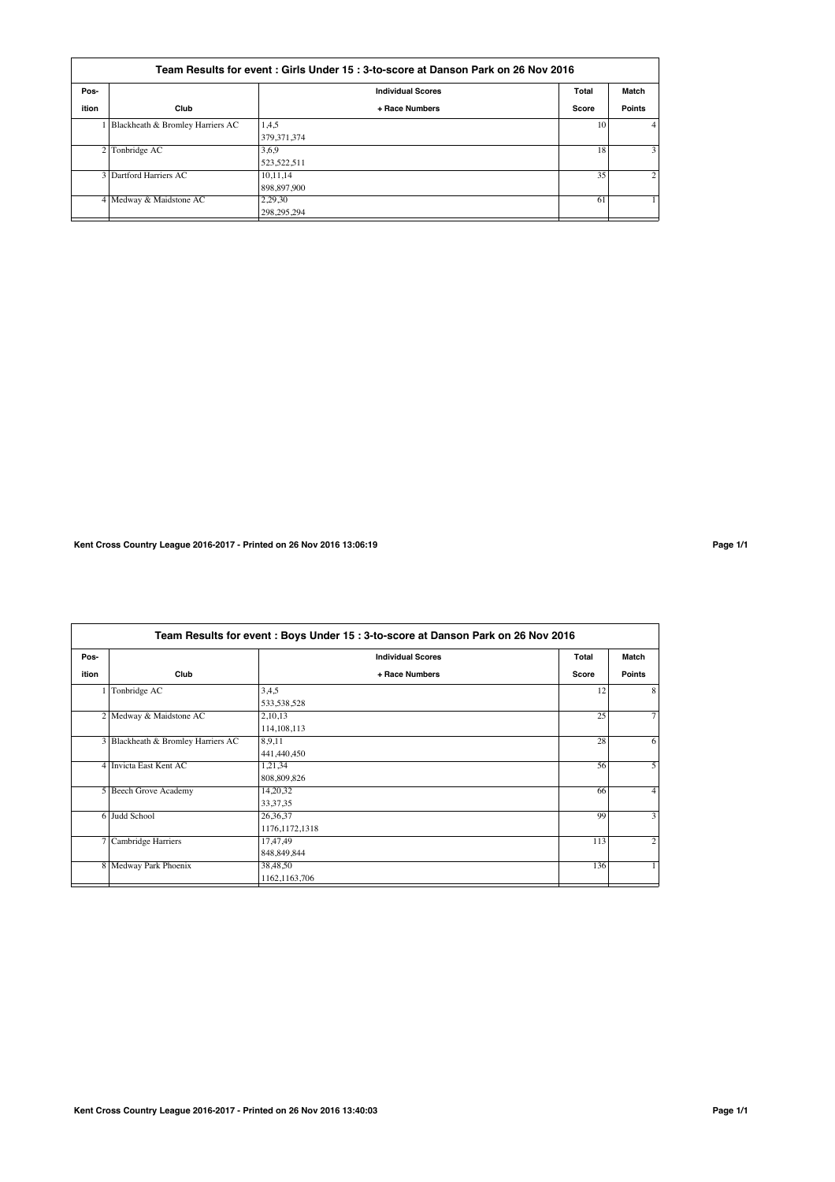| Team Results for event: Girls Under 15: 3-to-score at Danson Park on 26 Nov 2016 |                                  |                          |       |                |  |
|----------------------------------------------------------------------------------|----------------------------------|--------------------------|-------|----------------|--|
| Pos-                                                                             |                                  | <b>Individual Scores</b> | Total | Match          |  |
| ition                                                                            | Club                             | + Race Numbers           | Score | <b>Points</b>  |  |
|                                                                                  | Blackheath & Bromley Harriers AC | 1,4,5                    | 10    | 4              |  |
|                                                                                  |                                  | 379.371.374              |       |                |  |
|                                                                                  | 2 Tonbridge AC                   | 3,6,9                    | 18    | 3              |  |
|                                                                                  |                                  | 523,522,511              |       |                |  |
|                                                                                  | 3 Dartford Harriers AC           | 10.11.14                 | 35    | $\overline{2}$ |  |
|                                                                                  |                                  | 898,897,900              |       |                |  |
|                                                                                  | 4 Medway & Maidstone AC          | 2,29,30                  | 61    |                |  |
|                                                                                  |                                  | 298.295.294              |       |                |  |

**Kent Cross Country League 2016-2017 - Printed on 26 Nov 2016 13:06:19 Page 1/1**

**Team Results for event : Boys Under 15 : 3-to-score at Danson Park on 26 Nov 2016 Pos- Individual Scores Total Match ition Club + Race Numbers Score Points** 1 Tonbridge AC 3,4,5 12 8  $\frac{533,538,528}{2,10,13}$ 2 Medway & Maidstone AC 2,10,13 25  $\frac{114,108,113}{8,9,11}$ **Blackheath & Bromley Harriers AC** 8,9,11 28 441,440,450 4 Invicta East Kent AC 1,21,34 56  $\frac{1,21,34}{808,809,826}$ <br>14,20,32 5 Beech Grove Academy 14,20,32 66 33,37,35<br>26,36,37  $6$  Judd School 26,36,37 3 1176,1172,1318<br>17,47,49 7 Cambridge Harriers 17,47,49 113 848,849,844 Medway Park Phoenix 38,48,50 136 1162,1163,706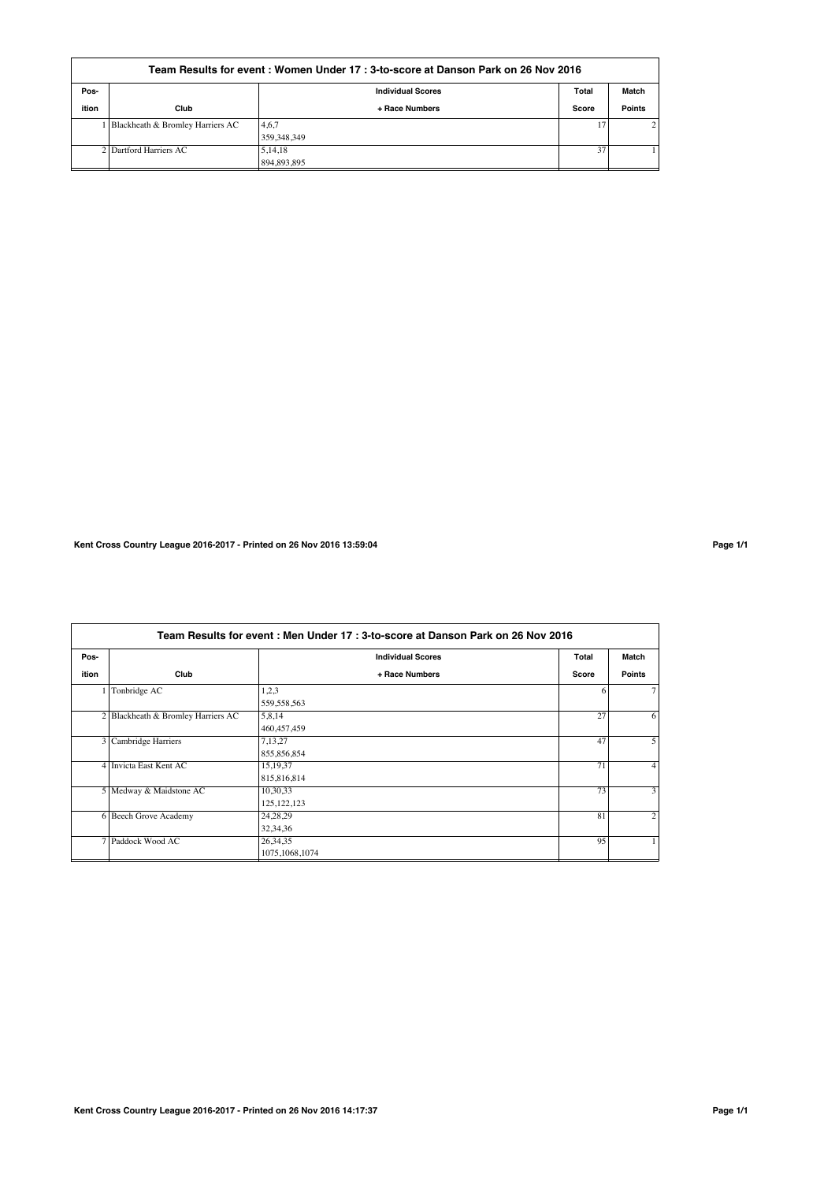| Team Results for event : Women Under 17 : 3-to-score at Danson Park on 26 Nov 2016 |                                    |                          |       |                |  |  |
|------------------------------------------------------------------------------------|------------------------------------|--------------------------|-------|----------------|--|--|
| Pos-                                                                               |                                    | <b>Individual Scores</b> | Total | Match          |  |  |
| ition                                                                              | Club                               | + Race Numbers           | Score | <b>Points</b>  |  |  |
|                                                                                    | 1 Blackheath & Bromley Harriers AC | 4,6,7<br>359.348.349     | 17    | 2 <sub>1</sub> |  |  |
|                                                                                    | 2 Dartford Harriers AC             | 5, 14, 18<br>894.893.895 | 37    |                |  |  |

**Kent Cross Country League 2016-2017 - Printed on 26 Nov 2016 13:59:04 Page 1/1**

**Team Results for event : Men Under 17 : 3-to-score at Danson Park on 26 Nov 2016 Pos- Individual Scores Total Match ition Club + Race Numbers Score Points**  $1$  Tonbridge AC 1,2,3 6  $\frac{559,558,563}{5,8,14}$ 2 Blackheath & Bromley Harriers AC 5,8,14 27 6 460,457,459<br>7,13,27 **3 Cambridge Harriers 27,13,27** 47  $\frac{855,856,854}{15,19,37}$ 4 Invicta East Kent AC 15,19,37 71  $\frac{815,816,814}{10,30,33}$ 5 Medway & Maidstone AC 10,30,33 73 125,122,123<br>24,28,29 6 Beech Grove Academy 24,28,29 81  $32,34,36$ <br> $26,34,35$ Paddock Wood AC 26,34,35 2002 126,34,35 95 126,34,35 95 126,34,35 95 126,34,35 95 126,34,35 95 126,34,35 95 126,34,35 95 126,34,35 95 126,34,35 126,34,35 126,34,35 126,34,35 126,34,35 126,34,35 126,34,35 126,34,35 126,34,3 1075,1068,1074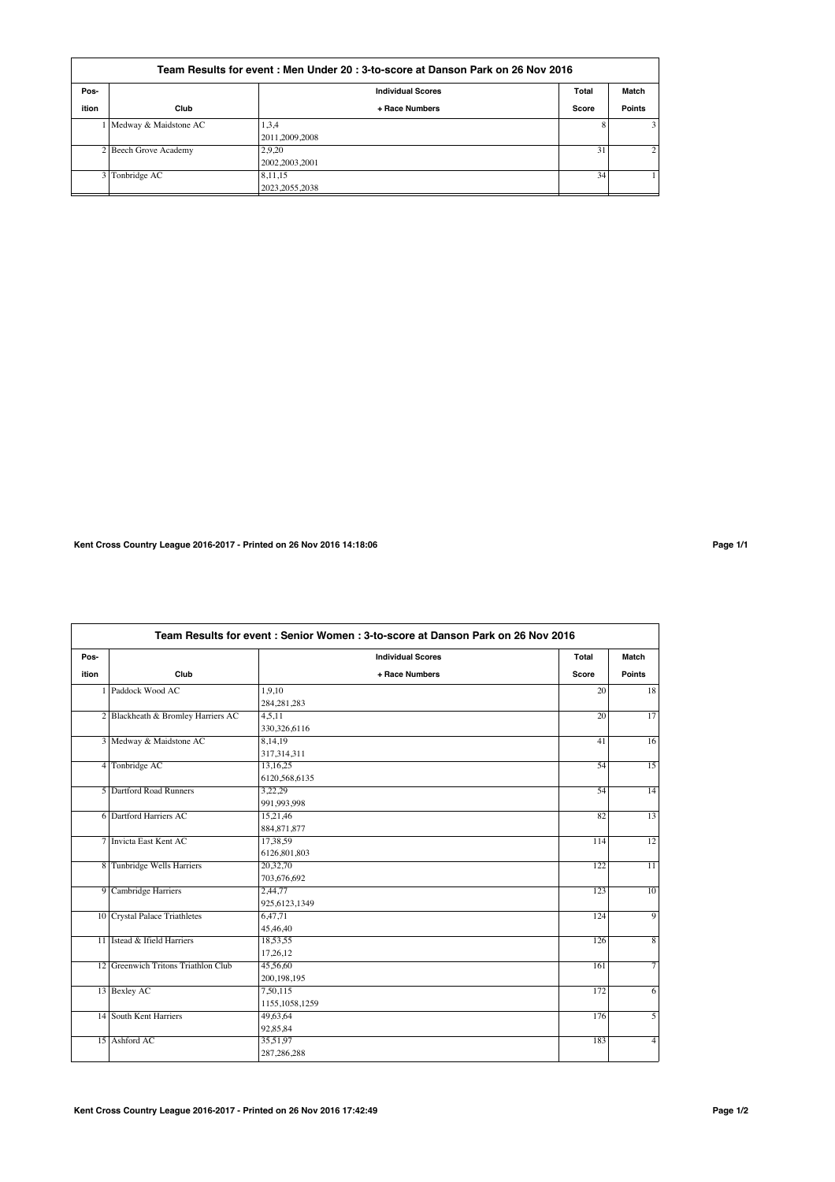| Team Results for event : Men Under 20 : 3-to-score at Danson Park on 26 Nov 2016 |                         |                          |       |                |  |
|----------------------------------------------------------------------------------|-------------------------|--------------------------|-------|----------------|--|
| Pos-                                                                             |                         | <b>Individual Scores</b> | Total | Match          |  |
| ition                                                                            | Club                    | + Race Numbers           | Score | <b>Points</b>  |  |
|                                                                                  | 1 Medway & Maidstone AC | 1,3,4                    | 8     | 3 <sup>1</sup> |  |
|                                                                                  |                         | 2011,2009,2008           |       |                |  |
|                                                                                  | 2 Beech Grove Academy   | 2.9.20                   | 31    | 2              |  |
|                                                                                  |                         | 2002.2003.2001           |       |                |  |
|                                                                                  | 3 Tonbridge AC          | 8,11,15                  | 34    |                |  |
|                                                                                  |                         | 2023.2055.2038           |       |                |  |

**Kent Cross Country League 2016-2017 - Printed on 26 Nov 2016 14:18:06 Page 1/1**

|       | Team Results for event: Senior Women: 3-to-score at Danson Park on 26 Nov 2016 |                          |                 |                 |  |  |
|-------|--------------------------------------------------------------------------------|--------------------------|-----------------|-----------------|--|--|
| Pos-  |                                                                                | <b>Individual Scores</b> | Total           | Match           |  |  |
| ition | Club                                                                           | + Race Numbers           | Score           | <b>Points</b>   |  |  |
|       | Paddock Wood AC                                                                | 1,9,10                   | 20              | 18              |  |  |
|       |                                                                                | 284, 281, 283            |                 |                 |  |  |
|       | 2 Blackheath & Bromley Harriers AC                                             | 4.5.11                   | $\overline{20}$ | $\overline{17}$ |  |  |
|       |                                                                                | 330,326,6116             |                 |                 |  |  |
|       | 3 Medway & Maidstone AC                                                        | 8,14,19                  | 41              | 16              |  |  |
|       |                                                                                | 317,314,311              |                 |                 |  |  |
|       | 4 Tonbridge AC                                                                 | 13,16,25                 | 54              | $\overline{15}$ |  |  |
|       |                                                                                | 6120,568,6135            |                 |                 |  |  |
|       | 5 Dartford Road Runners                                                        | 3,22,29                  | 54              | 14              |  |  |
|       |                                                                                | 991,993,998              |                 |                 |  |  |
|       | 6 Dartford Harriers AC                                                         | 15,21,46                 | 82              | $\overline{13}$ |  |  |
|       |                                                                                | 884, 871, 877            |                 |                 |  |  |
|       | 7 Invicta East Kent AC                                                         | 17,38.59                 | 114             | 12              |  |  |
|       |                                                                                | 6126,801,803             |                 |                 |  |  |
|       | 8 Tunbridge Wells Harriers                                                     | 20,32,70                 | 122             | $\overline{11}$ |  |  |
|       |                                                                                | 703,676,692              |                 |                 |  |  |
|       | 9 Cambridge Harriers                                                           | 2,44,77                  | 123             | 10              |  |  |
|       |                                                                                | 925,6123,1349            |                 |                 |  |  |
|       | 10 Crystal Palace Triathletes                                                  | 6,47,71                  | 124             | $\overline{9}$  |  |  |
|       |                                                                                | 45,46,40                 |                 |                 |  |  |
|       | 11 Istead & Ifield Harriers                                                    | 18,53,55                 | 126             | $\overline{8}$  |  |  |
|       |                                                                                | 17.26.12                 |                 |                 |  |  |
|       | 12 Greenwich Tritons Triathlon Club                                            | 45,56,60                 | 161             | 7               |  |  |
|       |                                                                                | 200, 198, 195            |                 |                 |  |  |
|       | 13 Bexley AC                                                                   | 7,50,115                 | 172             | 6               |  |  |
|       |                                                                                | 1155, 1058, 1259         |                 |                 |  |  |
|       | 14 South Kent Harriers                                                         | 49,63,64                 | 176             | $\overline{5}$  |  |  |
|       |                                                                                | 92,85,84                 |                 |                 |  |  |
|       | 15 Ashford AC                                                                  | 35,51,97                 | 183             | $\overline{4}$  |  |  |
|       |                                                                                | 287,286,288              |                 |                 |  |  |
|       |                                                                                |                          |                 |                 |  |  |